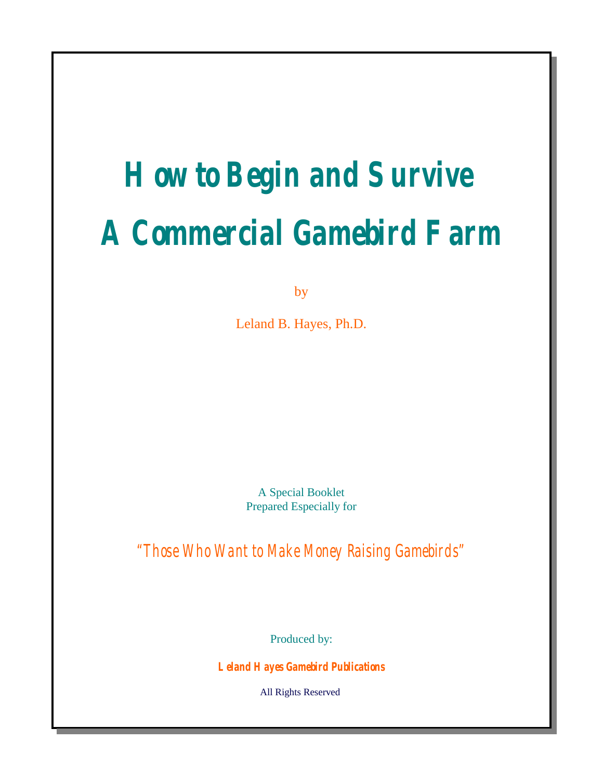# **How to Begin and Survive A Commercial Gamebird Farm**

by

Leland B. Hayes, Ph.D.

A Special Booklet Prepared Especially for

"Those Who Want to Make Money Raising Gamebirds"

Produced by:

**Leland Hayes Gamebird Publications**

All Rights Reserved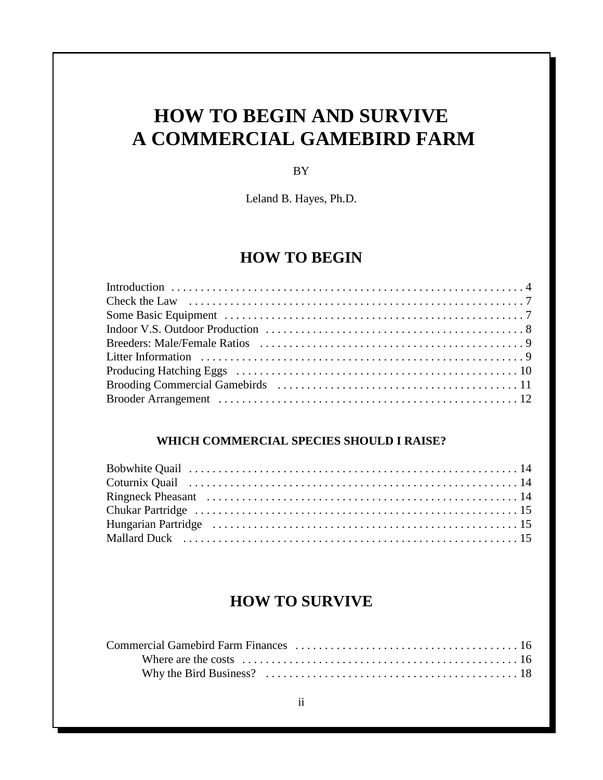# **HOW TO BEGIN AND SURVIVE A COMMERCIAL GAMEBIRD FARM**

BY

Leland B. Hayes, Ph.D.

## **HOW TO BEGIN**

#### **WHICH COMMERCIAL SPECIES SHOULD I RAISE?**

## **HOW TO SURVIVE**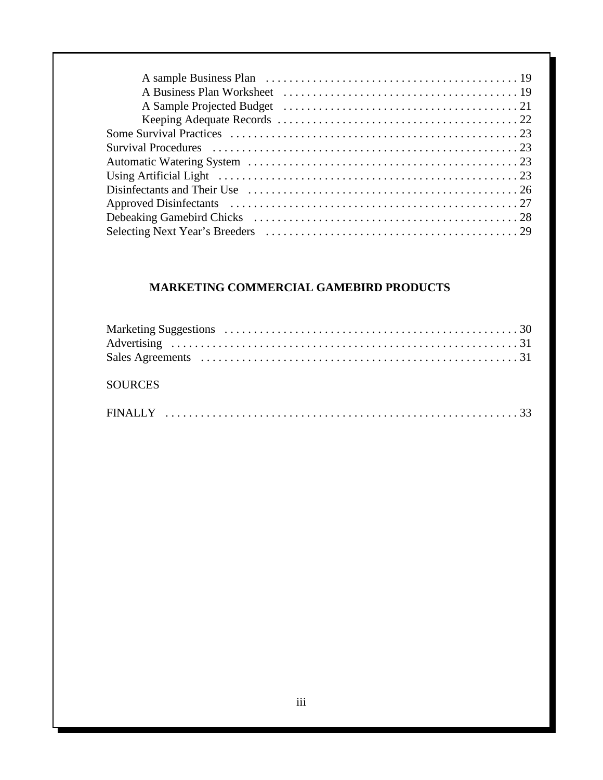## **MARKETING COMMERCIAL GAMEBIRD PRODUCTS**

| <b>SOURCES</b> |  |
|----------------|--|
|                |  |
|                |  |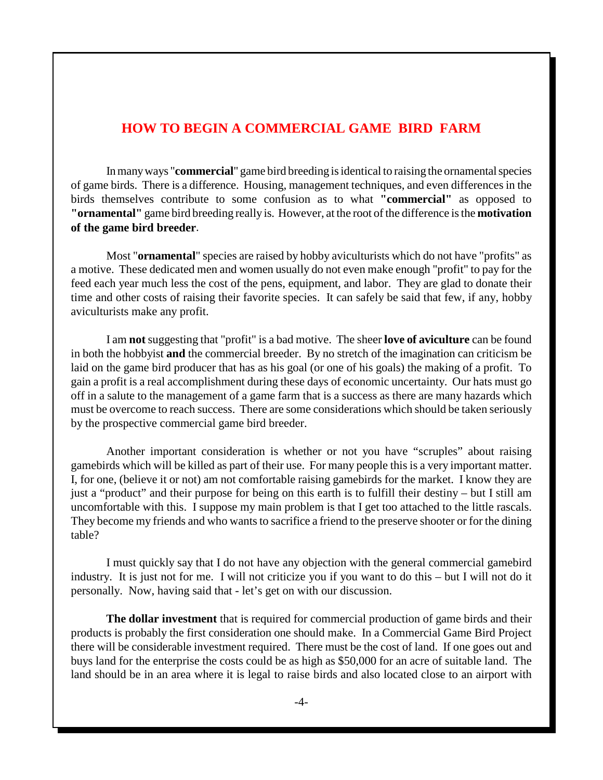#### **HOW TO BEGIN A COMMERCIAL GAME BIRD FARM**

In many ways "**commercial**" game bird breeding is identical to raising the ornamental species of game birds. There is a difference. Housing, management techniques, and even differences in the birds themselves contribute to some confusion as to what **"commercial"** as opposed to **"ornamental"** game bird breeding really is. However, at the root of the difference is the **motivation of the game bird breeder**.

Most "**ornamental**" species are raised by hobby aviculturists which do not have "profits" as a motive. These dedicated men and women usually do not even make enough "profit" to pay for the feed each year much less the cost of the pens, equipment, and labor. They are glad to donate their time and other costs of raising their favorite species. It can safely be said that few, if any, hobby aviculturists make any profit.

I am **not** suggesting that "profit" is a bad motive. The sheer **love of aviculture** can be found in both the hobbyist **and** the commercial breeder. By no stretch of the imagination can criticism be laid on the game bird producer that has as his goal (or one of his goals) the making of a profit. To gain a profit is a real accomplishment during these days of economic uncertainty. Our hats must go off in a salute to the management of a game farm that is a success as there are many hazards which must be overcome to reach success. There are some considerations which should be taken seriously by the prospective commercial game bird breeder.

Another important consideration is whether or not you have "scruples" about raising gamebirds which will be killed as part of their use. For many people this is a very important matter. I, for one, (believe it or not) am not comfortable raising gamebirds for the market. I know they are just a "product" and their purpose for being on this earth is to fulfill their destiny – but I still am uncomfortable with this. I suppose my main problem is that I get too attached to the little rascals. They become my friends and who wants to sacrifice a friend to the preserve shooter or for the dining table?

I must quickly say that I do not have any objection with the general commercial gamebird industry. It is just not for me. I will not criticize you if you want to do this – but I will not do it personally. Now, having said that - let's get on with our discussion.

**The dollar investment** that is required for commercial production of game birds and their products is probably the first consideration one should make. In a Commercial Game Bird Project there will be considerable investment required. There must be the cost of land. If one goes out and buys land for the enterprise the costs could be as high as \$50,000 for an acre of suitable land. The land should be in an area where it is legal to raise birds and also located close to an airport with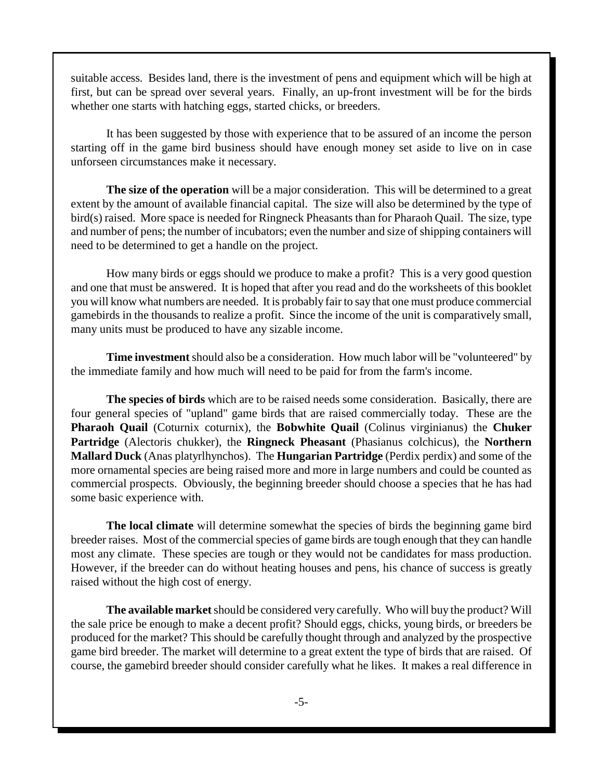suitable access. Besides land, there is the investment of pens and equipment which will be high at first, but can be spread over several years. Finally, an up-front investment will be for the birds whether one starts with hatching eggs, started chicks, or breeders.

It has been suggested by those with experience that to be assured of an income the person starting off in the game bird business should have enough money set aside to live on in case unforseen circumstances make it necessary.

**The size of the operation** will be a major consideration. This will be determined to a great extent by the amount of available financial capital. The size will also be determined by the type of bird(s) raised. More space is needed for Ringneck Pheasants than for Pharaoh Quail. The size, type and number of pens; the number of incubators; even the number and size of shipping containers will need to be determined to get a handle on the project.

How many birds or eggs should we produce to make a profit? This is a very good question and one that must be answered. It is hoped that after you read and do the worksheets of this booklet you will know what numbers are needed. It is probably fair to say that one must produce commercial gamebirds in the thousands to realize a profit. Since the income of the unit is comparatively small, many units must be produced to have any sizable income.

**Time investment** should also be a consideration. How much labor will be "volunteered" by the immediate family and how much will need to be paid for from the farm's income.

**The species of birds** which are to be raised needs some consideration. Basically, there are four general species of "upland" game birds that are raised commercially today. These are the **Pharaoh Quail** (Coturnix coturnix), the **Bobwhite Quail** (Colinus virginianus) the **Chuker Partridge** (Alectoris chukker), the **Ringneck Pheasant** (Phasianus colchicus), the **Northern Mallard Duck** (Anas platyrlhynchos). The **Hungarian Partridge** (Perdix perdix) and some of the more ornamental species are being raised more and more in large numbers and could be counted as commercial prospects. Obviously, the beginning breeder should choose a species that he has had some basic experience with.

**The local climate** will determine somewhat the species of birds the beginning game bird breeder raises. Most of the commercial species of game birds are tough enough that they can handle most any climate. These species are tough or they would not be candidates for mass production. However, if the breeder can do without heating houses and pens, his chance of success is greatly raised without the high cost of energy.

**The available market** should be considered very carefully. Who will buy the product? Will the sale price be enough to make a decent profit? Should eggs, chicks, young birds, or breeders be produced for the market? This should be carefully thought through and analyzed by the prospective game bird breeder. The market will determine to a great extent the type of birds that are raised. Of course, the gamebird breeder should consider carefully what he likes. It makes a real difference in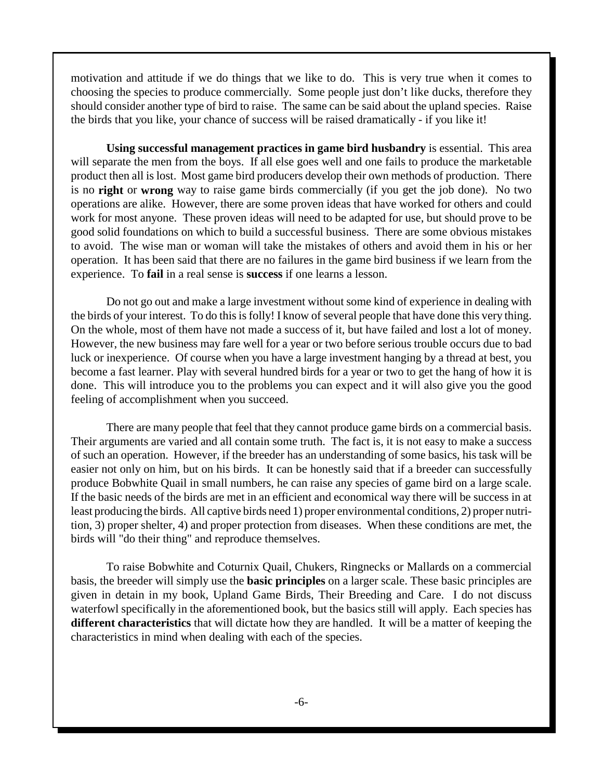motivation and attitude if we do things that we like to do. This is very true when it comes to choosing the species to produce commercially. Some people just don't like ducks, therefore they should consider another type of bird to raise. The same can be said about the upland species. Raise the birds that you like, your chance of success will be raised dramatically - if you like it!

**Using successful management practices in game bird husbandry** is essential. This area will separate the men from the boys. If all else goes well and one fails to produce the marketable product then all is lost. Most game bird producers develop their own methods of production. There is no **right** or **wrong** way to raise game birds commercially (if you get the job done). No two operations are alike. However, there are some proven ideas that have worked for others and could work for most anyone. These proven ideas will need to be adapted for use, but should prove to be good solid foundations on which to build a successful business. There are some obvious mistakes to avoid. The wise man or woman will take the mistakes of others and avoid them in his or her operation. It has been said that there are no failures in the game bird business if we learn from the experience. To **fail** in a real sense is **success** if one learns a lesson.

Do not go out and make a large investment without some kind of experience in dealing with the birds of your interest. To do this is folly! I know of several people that have done this very thing. On the whole, most of them have not made a success of it, but have failed and lost a lot of money. However, the new business may fare well for a year or two before serious trouble occurs due to bad luck or inexperience. Of course when you have a large investment hanging by a thread at best, you become a fast learner. Play with several hundred birds for a year or two to get the hang of how it is done. This will introduce you to the problems you can expect and it will also give you the good feeling of accomplishment when you succeed.

There are many people that feel that they cannot produce game birds on a commercial basis. Their arguments are varied and all contain some truth. The fact is, it is not easy to make a success of such an operation. However, if the breeder has an understanding of some basics, his task will be easier not only on him, but on his birds. It can be honestly said that if a breeder can successfully produce Bobwhite Quail in small numbers, he can raise any species of game bird on a large scale. If the basic needs of the birds are met in an efficient and economical way there will be success in at least producing the birds. All captive birds need 1) proper environmental conditions, 2) proper nutrition, 3) proper shelter, 4) and proper protection from diseases. When these conditions are met, the birds will "do their thing" and reproduce themselves.

To raise Bobwhite and Coturnix Quail, Chukers, Ringnecks or Mallards on a commercial basis, the breeder will simply use the **basic principles** on a larger scale. These basic principles are given in detain in my book, Upland Game Birds, Their Breeding and Care. I do not discuss waterfowl specifically in the aforementioned book, but the basics still will apply. Each species has **different characteristics** that will dictate how they are handled. It will be a matter of keeping the characteristics in mind when dealing with each of the species.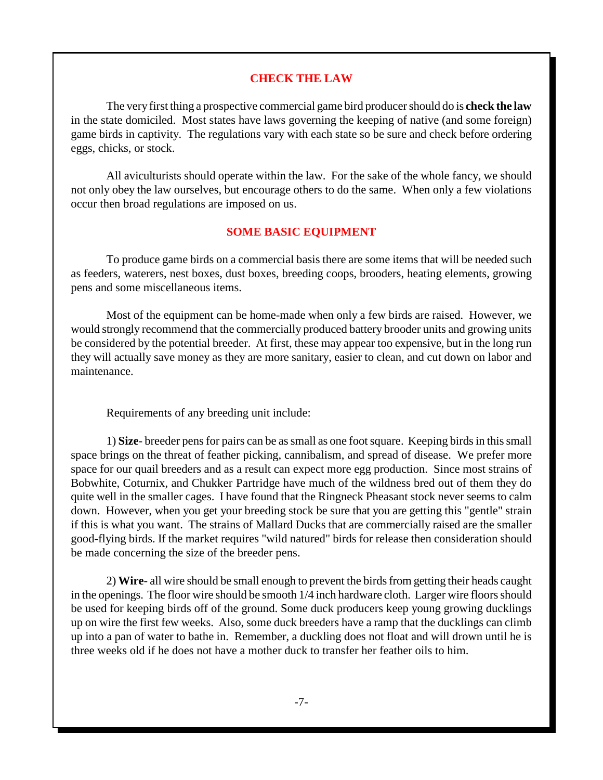#### **CHECK THE LAW**

The very first thing a prospective commercial game bird producer should do is **check the law** in the state domiciled. Most states have laws governing the keeping of native (and some foreign) game birds in captivity. The regulations vary with each state so be sure and check before ordering eggs, chicks, or stock.

All aviculturists should operate within the law. For the sake of the whole fancy, we should not only obey the law ourselves, but encourage others to do the same. When only a few violations occur then broad regulations are imposed on us.

#### **SOME BASIC EQUIPMENT**

To produce game birds on a commercial basis there are some items that will be needed such as feeders, waterers, nest boxes, dust boxes, breeding coops, brooders, heating elements, growing pens and some miscellaneous items.

Most of the equipment can be home-made when only a few birds are raised. However, we would strongly recommend that the commercially produced battery brooder units and growing units be considered by the potential breeder. At first, these may appear too expensive, but in the long run they will actually save money as they are more sanitary, easier to clean, and cut down on labor and maintenance.

Requirements of any breeding unit include:

1) **Size**- breeder pens for pairs can be as small as one foot square. Keeping birds in this small space brings on the threat of feather picking, cannibalism, and spread of disease. We prefer more space for our quail breeders and as a result can expect more egg production. Since most strains of Bobwhite, Coturnix, and Chukker Partridge have much of the wildness bred out of them they do quite well in the smaller cages. I have found that the Ringneck Pheasant stock never seems to calm down. However, when you get your breeding stock be sure that you are getting this "gentle" strain if this is what you want. The strains of Mallard Ducks that are commercially raised are the smaller good-flying birds. If the market requires "wild natured" birds for release then consideration should be made concerning the size of the breeder pens.

2) **Wire**- all wire should be small enough to prevent the birds from getting their heads caught in the openings. The floor wire should be smooth 1/4 inch hardware cloth. Larger wire floors should be used for keeping birds off of the ground. Some duck producers keep young growing ducklings up on wire the first few weeks. Also, some duck breeders have a ramp that the ducklings can climb up into a pan of water to bathe in. Remember, a duckling does not float and will drown until he is three weeks old if he does not have a mother duck to transfer her feather oils to him.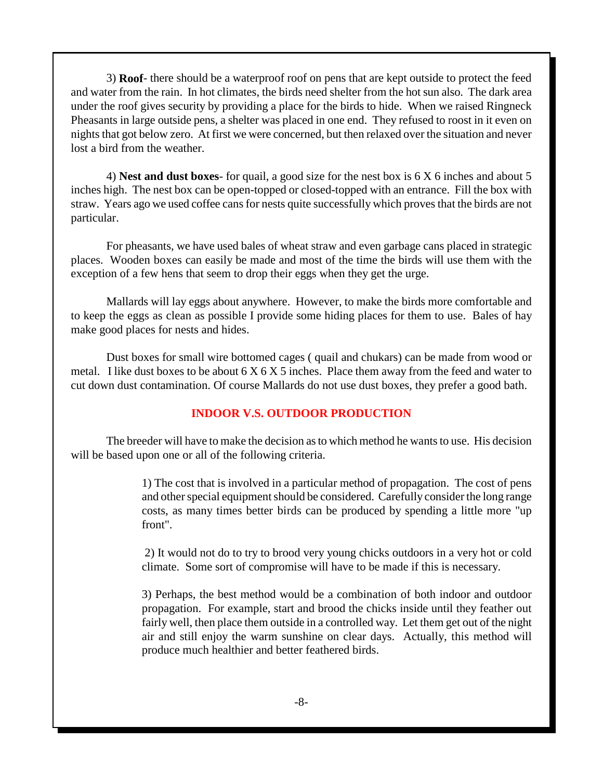3) **Roof**- there should be a waterproof roof on pens that are kept outside to protect the feed and water from the rain. In hot climates, the birds need shelter from the hot sun also. The dark area under the roof gives security by providing a place for the birds to hide. When we raised Ringneck Pheasants in large outside pens, a shelter was placed in one end. They refused to roost in it even on nights that got below zero. At first we were concerned, but then relaxed over the situation and never lost a bird from the weather.

4) **Nest and dust boxes**- for quail, a good size for the nest box is 6 X 6 inches and about 5 inches high. The nest box can be open-topped or closed-topped with an entrance. Fill the box with straw. Years ago we used coffee cans for nests quite successfully which proves that the birds are not particular.

For pheasants, we have used bales of wheat straw and even garbage cans placed in strategic places. Wooden boxes can easily be made and most of the time the birds will use them with the exception of a few hens that seem to drop their eggs when they get the urge.

Mallards will lay eggs about anywhere. However, to make the birds more comfortable and to keep the eggs as clean as possible I provide some hiding places for them to use. Bales of hay make good places for nests and hides.

Dust boxes for small wire bottomed cages ( quail and chukars) can be made from wood or metal. I like dust boxes to be about  $6 \times 6 \times 5$  inches. Place them away from the feed and water to cut down dust contamination. Of course Mallards do not use dust boxes, they prefer a good bath.

#### **INDOOR V.S. OUTDOOR PRODUCTION**

The breeder will have to make the decision as to which method he wants to use. His decision will be based upon one or all of the following criteria.

> 1) The cost that is involved in a particular method of propagation. The cost of pens and other special equipment should be considered. Carefully consider the long range costs, as many times better birds can be produced by spending a little more "up front".

> 2) It would not do to try to brood very young chicks outdoors in a very hot or cold climate. Some sort of compromise will have to be made if this is necessary.

> 3) Perhaps, the best method would be a combination of both indoor and outdoor propagation. For example, start and brood the chicks inside until they feather out fairly well, then place them outside in a controlled way. Let them get out of the night air and still enjoy the warm sunshine on clear days. Actually, this method will produce much healthier and better feathered birds.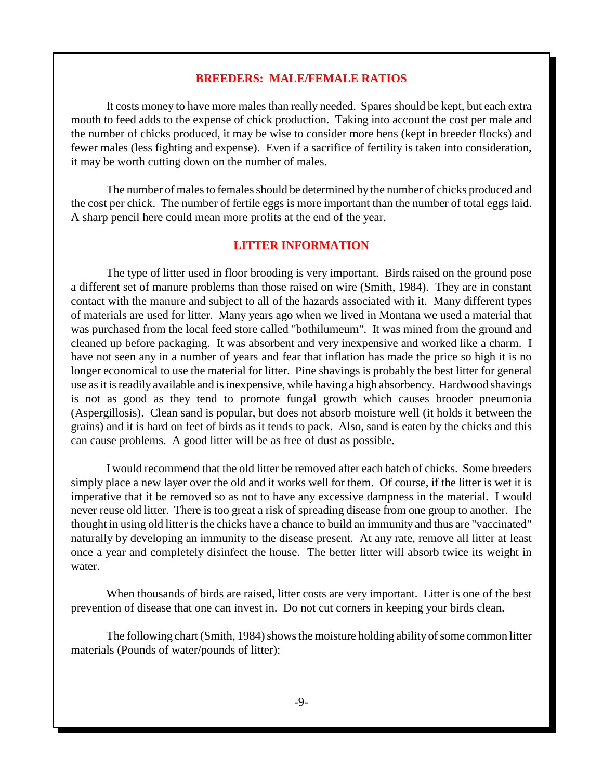#### **BREEDERS: MALE/FEMALE RATIOS**

It costs money to have more males than really needed. Spares should be kept, but each extra mouth to feed adds to the expense of chick production. Taking into account the cost per male and the number of chicks produced, it may be wise to consider more hens (kept in breeder flocks) and fewer males (less fighting and expense). Even if a sacrifice of fertility is taken into consideration, it may be worth cutting down on the number of males.

The number of males to females should be determined by the number of chicks produced and the cost per chick. The number of fertile eggs is more important than the number of total eggs laid. A sharp pencil here could mean more profits at the end of the year.

#### **LITTER INFORMATION**

The type of litter used in floor brooding is very important. Birds raised on the ground pose a different set of manure problems than those raised on wire (Smith, 1984). They are in constant contact with the manure and subject to all of the hazards associated with it. Many different types of materials are used for litter. Many years ago when we lived in Montana we used a material that was purchased from the local feed store called "bothilumeum". It was mined from the ground and cleaned up before packaging. It was absorbent and very inexpensive and worked like a charm. I have not seen any in a number of years and fear that inflation has made the price so high it is no longer economical to use the material for litter. Pine shavings is probably the best litter for general use as it is readily available and is inexpensive, while having a high absorbency. Hardwood shavings is not as good as they tend to promote fungal growth which causes brooder pneumonia (Aspergillosis). Clean sand is popular, but does not absorb moisture well (it holds it between the grains) and it is hard on feet of birds as it tends to pack. Also, sand is eaten by the chicks and this can cause problems. A good litter will be as free of dust as possible.

I would recommend that the old litter be removed after each batch of chicks. Some breeders simply place a new layer over the old and it works well for them. Of course, if the litter is wet it is imperative that it be removed so as not to have any excessive dampness in the material. I would never reuse old litter. There is too great a risk of spreading disease from one group to another. The thought in using old litter is the chicks have a chance to build an immunity and thus are "vaccinated" naturally by developing an immunity to the disease present. At any rate, remove all litter at least once a year and completely disinfect the house. The better litter will absorb twice its weight in water.

When thousands of birds are raised, litter costs are very important. Litter is one of the best prevention of disease that one can invest in. Do not cut corners in keeping your birds clean.

The following chart (Smith, 1984) shows the moisture holding ability of some common litter materials (Pounds of water/pounds of litter):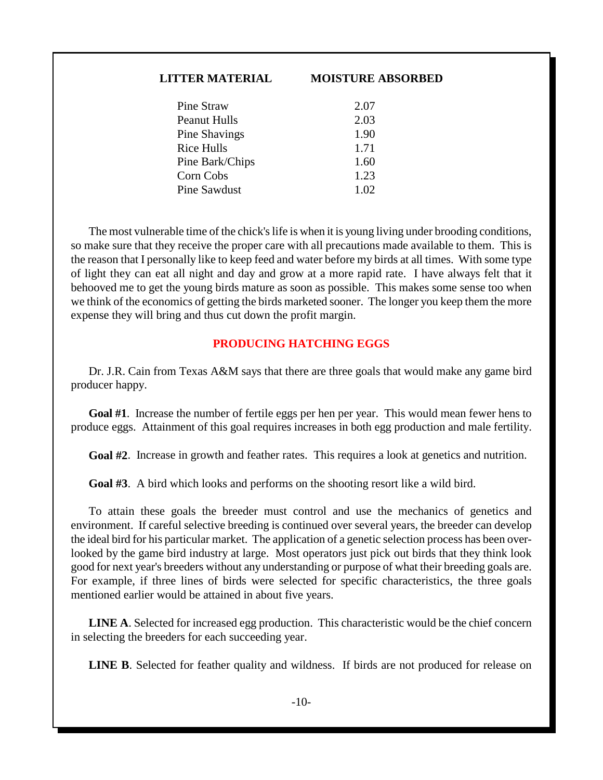# **LITTER MATERIAL MOISTURE ABSORBED**

| Pine Straw      | 2.07 |
|-----------------|------|
| Peanut Hulls    | 2.03 |
| Pine Shavings   | 1.90 |
| Rice Hulls      | 1.71 |
| Pine Bark/Chips | 1.60 |
| Corn Cobs       | 1.23 |
| Pine Sawdust    | 1.02 |
|                 |      |

The most vulnerable time of the chick's life is when it is young living under brooding conditions, so make sure that they receive the proper care with all precautions made available to them. This is the reason that I personally like to keep feed and water before my birds at all times. With some type of light they can eat all night and day and grow at a more rapid rate. I have always felt that it behooved me to get the young birds mature as soon as possible. This makes some sense too when we think of the economics of getting the birds marketed sooner. The longer you keep them the more expense they will bring and thus cut down the profit margin.

#### **PRODUCING HATCHING EGGS**

Dr. J.R. Cain from Texas A&M says that there are three goals that would make any game bird producer happy.

**Goal #1**. Increase the number of fertile eggs per hen per year. This would mean fewer hens to produce eggs. Attainment of this goal requires increases in both egg production and male fertility.

**Goal #2**. Increase in growth and feather rates. This requires a look at genetics and nutrition.

**Goal #3**. A bird which looks and performs on the shooting resort like a wild bird.

To attain these goals the breeder must control and use the mechanics of genetics and environment. If careful selective breeding is continued over several years, the breeder can develop the ideal bird for his particular market. The application of a genetic selection process has been overlooked by the game bird industry at large. Most operators just pick out birds that they think look good for next year's breeders without any understanding or purpose of what their breeding goals are. For example, if three lines of birds were selected for specific characteristics, the three goals mentioned earlier would be attained in about five years.

**LINE A**. Selected for increased egg production. This characteristic would be the chief concern in selecting the breeders for each succeeding year.

**LINE B**. Selected for feather quality and wildness. If birds are not produced for release on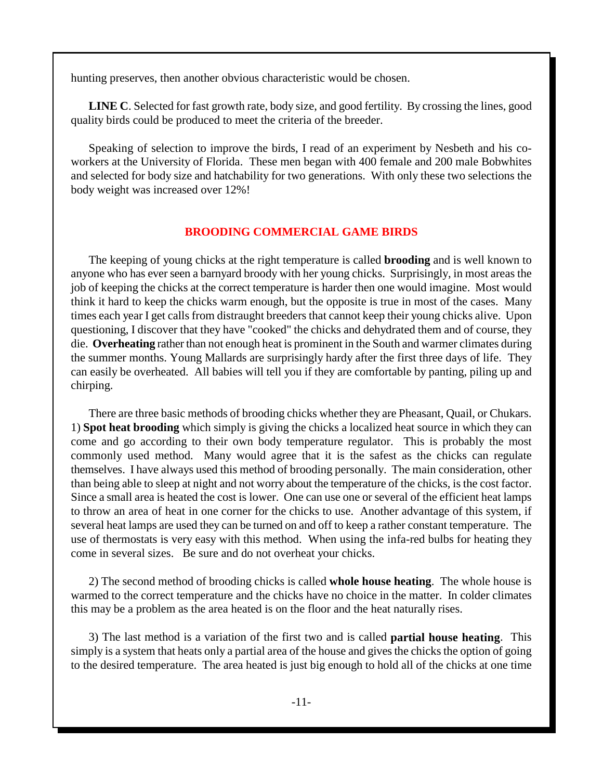hunting preserves, then another obvious characteristic would be chosen.

**LINE C**. Selected for fast growth rate, body size, and good fertility. By crossing the lines, good quality birds could be produced to meet the criteria of the breeder.

Speaking of selection to improve the birds, I read of an experiment by Nesbeth and his coworkers at the University of Florida. These men began with 400 female and 200 male Bobwhites and selected for body size and hatchability for two generations. With only these two selections the body weight was increased over 12%!

#### **BROODING COMMERCIAL GAME BIRDS**

The keeping of young chicks at the right temperature is called **brooding** and is well known to anyone who has ever seen a barnyard broody with her young chicks. Surprisingly, in most areas the job of keeping the chicks at the correct temperature is harder then one would imagine. Most would think it hard to keep the chicks warm enough, but the opposite is true in most of the cases. Many times each year I get calls from distraught breeders that cannot keep their young chicks alive. Upon questioning, I discover that they have "cooked" the chicks and dehydrated them and of course, they die. **Overheating** rather than not enough heat is prominent in the South and warmer climates during the summer months. Young Mallards are surprisingly hardy after the first three days of life. They can easily be overheated. All babies will tell you if they are comfortable by panting, piling up and chirping.

There are three basic methods of brooding chicks whether they are Pheasant, Quail, or Chukars. 1) **Spot heat brooding** which simply is giving the chicks a localized heat source in which they can come and go according to their own body temperature regulator. This is probably the most commonly used method. Many would agree that it is the safest as the chicks can regulate themselves. I have always used this method of brooding personally. The main consideration, other than being able to sleep at night and not worry about the temperature of the chicks, is the cost factor. Since a small area is heated the cost is lower. One can use one or several of the efficient heat lamps to throw an area of heat in one corner for the chicks to use. Another advantage of this system, if several heat lamps are used they can be turned on and off to keep a rather constant temperature. The use of thermostats is very easy with this method. When using the infa-red bulbs for heating they come in several sizes. Be sure and do not overheat your chicks.

2) The second method of brooding chicks is called **whole house heating**. The whole house is warmed to the correct temperature and the chicks have no choice in the matter. In colder climates this may be a problem as the area heated is on the floor and the heat naturally rises.

3) The last method is a variation of the first two and is called **partial house heating**. This simply is a system that heats only a partial area of the house and gives the chicks the option of going to the desired temperature. The area heated is just big enough to hold all of the chicks at one time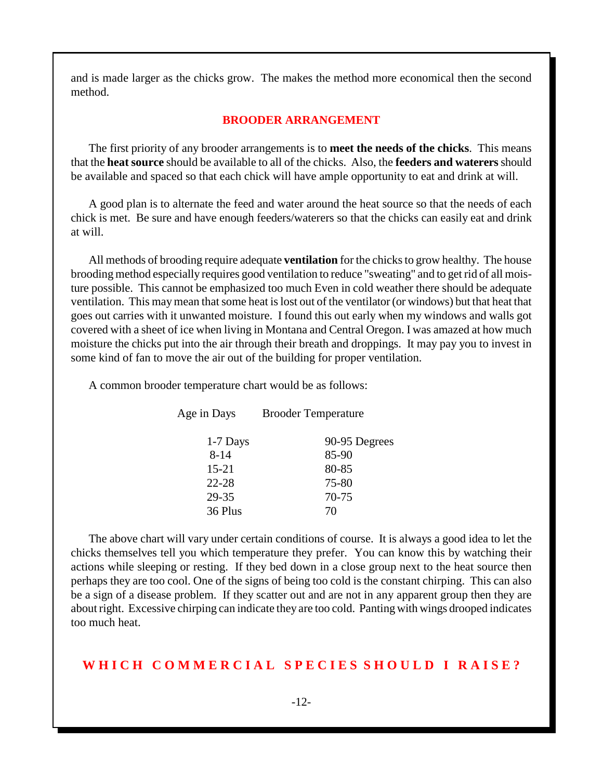and is made larger as the chicks grow. The makes the method more economical then the second method.

#### **BROODER ARRANGEMENT**

The first priority of any brooder arrangements is to **meet the needs of the chicks**. This means that the **heat source** should be available to all of the chicks. Also, the **feeders and waterers** should be available and spaced so that each chick will have ample opportunity to eat and drink at will.

A good plan is to alternate the feed and water around the heat source so that the needs of each chick is met. Be sure and have enough feeders/waterers so that the chicks can easily eat and drink at will.

All methods of brooding require adequate **ventilation** for the chicks to grow healthy. The house brooding method especially requires good ventilation to reduce "sweating" and to get rid of all moisture possible. This cannot be emphasized too much Even in cold weather there should be adequate ventilation. This may mean that some heat is lost out of the ventilator (or windows) but that heat that goes out carries with it unwanted moisture. I found this out early when my windows and walls got covered with a sheet of ice when living in Montana and Central Oregon. I was amazed at how much moisture the chicks put into the air through their breath and droppings. It may pay you to invest in some kind of fan to move the air out of the building for proper ventilation.

A common brooder temperature chart would be as follows:

| Age in Days |            | <b>Brooder Temperature</b> |  |
|-------------|------------|----------------------------|--|
|             | $1-7$ Days | 90-95 Degrees              |  |
|             | $8 - 14$   | 85-90                      |  |
|             | $15 - 21$  | 80-85                      |  |
|             | $22 - 28$  | 75-80                      |  |
|             | 29-35      | 70-75                      |  |
|             | 36 Plus    | 70                         |  |
|             |            |                            |  |

The above chart will vary under certain conditions of course. It is always a good idea to let the chicks themselves tell you which temperature they prefer. You can know this by watching their actions while sleeping or resting. If they bed down in a close group next to the heat source then perhaps they are too cool. One of the signs of being too cold is the constant chirping. This can also be a sign of a disease problem. If they scatter out and are not in any apparent group then they are about right. Excessive chirping can indicate they are too cold. Panting with wings drooped indicates too much heat.

#### WHICH COMMERCIAL SPECIES SHOULD I RAISE?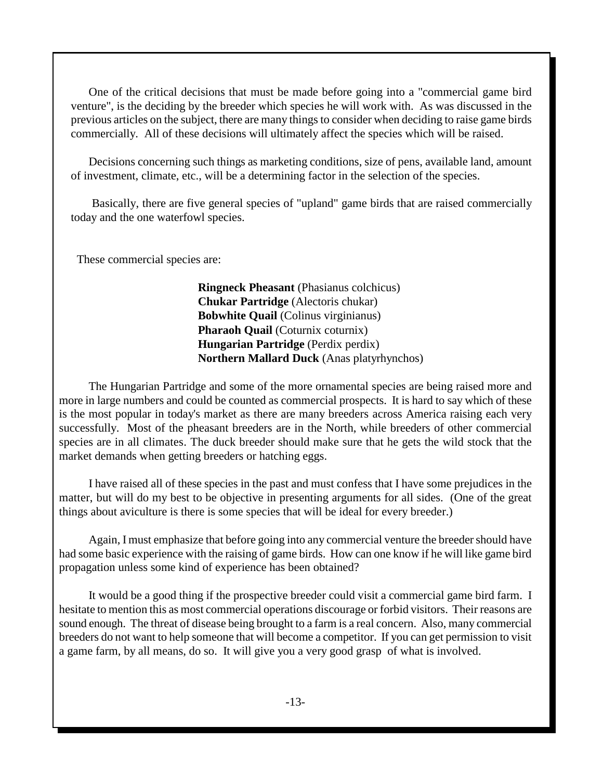One of the critical decisions that must be made before going into a "commercial game bird venture", is the deciding by the breeder which species he will work with. As was discussed in the previous articles on the subject, there are many things to consider when deciding to raise game birds commercially. All of these decisions will ultimately affect the species which will be raised.

Decisions concerning such things as marketing conditions, size of pens, available land, amount of investment, climate, etc., will be a determining factor in the selection of the species.

 Basically, there are five general species of "upland" game birds that are raised commercially today and the one waterfowl species.

These commercial species are:

**Ringneck Pheasant** (Phasianus colchicus) **Chukar Partridge** (Alectoris chukar) **Bobwhite Quail** (Colinus virginianus) **Pharaoh Quail** (Coturnix coturnix) **Hungarian Partridge** (Perdix perdix) **Northern Mallard Duck** (Anas platyrhynchos)

The Hungarian Partridge and some of the more ornamental species are being raised more and more in large numbers and could be counted as commercial prospects. It is hard to say which of these is the most popular in today's market as there are many breeders across America raising each very successfully. Most of the pheasant breeders are in the North, while breeders of other commercial species are in all climates. The duck breeder should make sure that he gets the wild stock that the market demands when getting breeders or hatching eggs.

I have raised all of these species in the past and must confess that I have some prejudices in the matter, but will do my best to be objective in presenting arguments for all sides. (One of the great things about aviculture is there is some species that will be ideal for every breeder.)

Again, I must emphasize that before going into any commercial venture the breeder should have had some basic experience with the raising of game birds. How can one know if he will like game bird propagation unless some kind of experience has been obtained?

It would be a good thing if the prospective breeder could visit a commercial game bird farm. I hesitate to mention this as most commercial operations discourage or forbid visitors. Their reasons are sound enough. The threat of disease being brought to a farm is a real concern. Also, many commercial breeders do not want to help someone that will become a competitor. If you can get permission to visit a game farm, by all means, do so. It will give you a very good grasp of what is involved.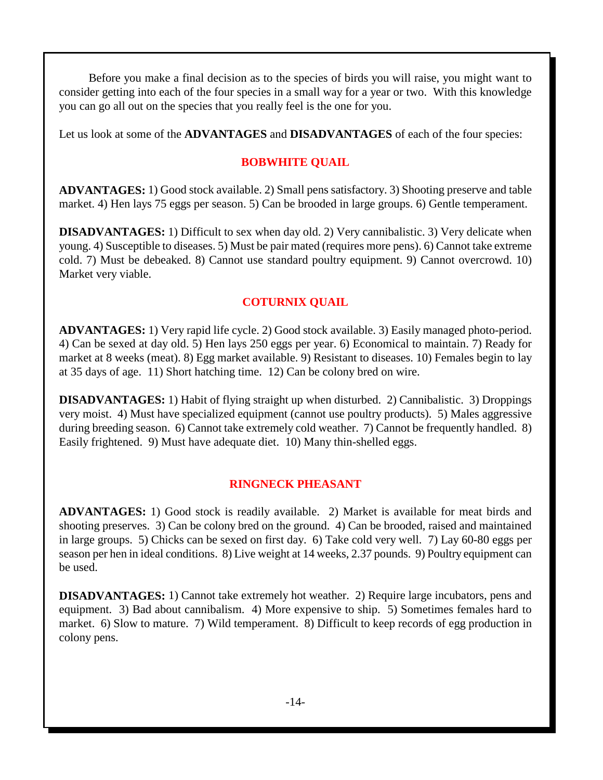Before you make a final decision as to the species of birds you will raise, you might want to consider getting into each of the four species in a small way for a year or two. With this knowledge you can go all out on the species that you really feel is the one for you.

Let us look at some of the **ADVANTAGES** and **DISADVANTAGES** of each of the four species:

#### **BOBWHITE QUAIL**

**ADVANTAGES:** 1) Good stock available. 2) Small pens satisfactory. 3) Shooting preserve and table market. 4) Hen lays 75 eggs per season. 5) Can be brooded in large groups. 6) Gentle temperament.

**DISADVANTAGES:** 1) Difficult to sex when day old. 2) Very cannibalistic. 3) Very delicate when young. 4) Susceptible to diseases. 5) Must be pair mated (requires more pens). 6) Cannot take extreme cold. 7) Must be debeaked. 8) Cannot use standard poultry equipment. 9) Cannot overcrowd. 10) Market very viable.

#### **COTURNIX QUAIL**

**ADVANTAGES:** 1) Very rapid life cycle. 2) Good stock available. 3) Easily managed photo-period. 4) Can be sexed at day old. 5) Hen lays 250 eggs per year. 6) Economical to maintain. 7) Ready for market at 8 weeks (meat). 8) Egg market available. 9) Resistant to diseases. 10) Females begin to lay at 35 days of age. 11) Short hatching time. 12) Can be colony bred on wire.

**DISADVANTAGES:** 1) Habit of flying straight up when disturbed. 2) Cannibalistic. 3) Droppings very moist. 4) Must have specialized equipment (cannot use poultry products). 5) Males aggressive during breeding season. 6) Cannot take extremely cold weather. 7) Cannot be frequently handled. 8) Easily frightened. 9) Must have adequate diet. 10) Many thin-shelled eggs.

#### **RINGNECK PHEASANT**

**ADVANTAGES:** 1) Good stock is readily available. 2) Market is available for meat birds and shooting preserves. 3) Can be colony bred on the ground. 4) Can be brooded, raised and maintained in large groups. 5) Chicks can be sexed on first day. 6) Take cold very well. 7) Lay 60-80 eggs per season per hen in ideal conditions. 8) Live weight at 14 weeks, 2.37 pounds. 9) Poultry equipment can be used.

**DISADVANTAGES:** 1) Cannot take extremely hot weather. 2) Require large incubators, pens and equipment. 3) Bad about cannibalism. 4) More expensive to ship. 5) Sometimes females hard to market. 6) Slow to mature. 7) Wild temperament. 8) Difficult to keep records of egg production in colony pens.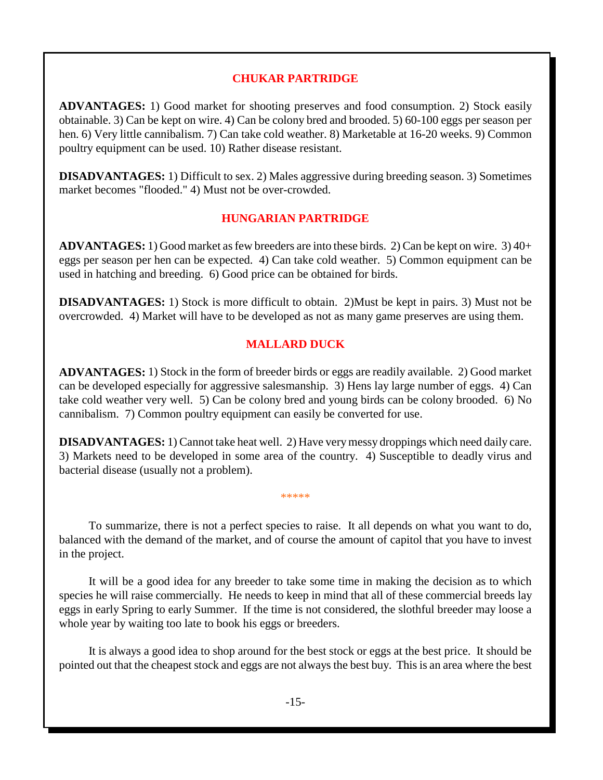#### **CHUKAR PARTRIDGE**

**ADVANTAGES:** 1) Good market for shooting preserves and food consumption. 2) Stock easily obtainable. 3) Can be kept on wire. 4) Can be colony bred and brooded. 5) 60-100 eggs per season per hen. 6) Very little cannibalism. 7) Can take cold weather. 8) Marketable at 16-20 weeks. 9) Common poultry equipment can be used. 10) Rather disease resistant.

**DISADVANTAGES:** 1) Difficult to sex. 2) Males aggressive during breeding season. 3) Sometimes market becomes "flooded." 4) Must not be over-crowded.

#### **HUNGARIAN PARTRIDGE**

**ADVANTAGES:** 1) Good market as few breeders are into these birds. 2) Can be kept on wire. 3) 40+ eggs per season per hen can be expected. 4) Can take cold weather. 5) Common equipment can be used in hatching and breeding. 6) Good price can be obtained for birds.

**DISADVANTAGES:** 1) Stock is more difficult to obtain. 2)Must be kept in pairs. 3) Must not be overcrowded. 4) Market will have to be developed as not as many game preserves are using them.

#### **MALLARD DUCK**

**ADVANTAGES:** 1) Stock in the form of breeder birds or eggs are readily available. 2) Good market can be developed especially for aggressive salesmanship. 3) Hens lay large number of eggs. 4) Can take cold weather very well. 5) Can be colony bred and young birds can be colony brooded. 6) No cannibalism. 7) Common poultry equipment can easily be converted for use.

**DISADVANTAGES:** 1) Cannot take heat well. 2) Have very messy droppings which need daily care. 3) Markets need to be developed in some area of the country. 4) Susceptible to deadly virus and bacterial disease (usually not a problem).

\*\*\*\*\*

To summarize, there is not a perfect species to raise. It all depends on what you want to do, balanced with the demand of the market, and of course the amount of capitol that you have to invest in the project.

It will be a good idea for any breeder to take some time in making the decision as to which species he will raise commercially. He needs to keep in mind that all of these commercial breeds lay eggs in early Spring to early Summer. If the time is not considered, the slothful breeder may loose a whole year by waiting too late to book his eggs or breeders.

It is always a good idea to shop around for the best stock or eggs at the best price. It should be pointed out that the cheapest stock and eggs are not always the best buy. This is an area where the best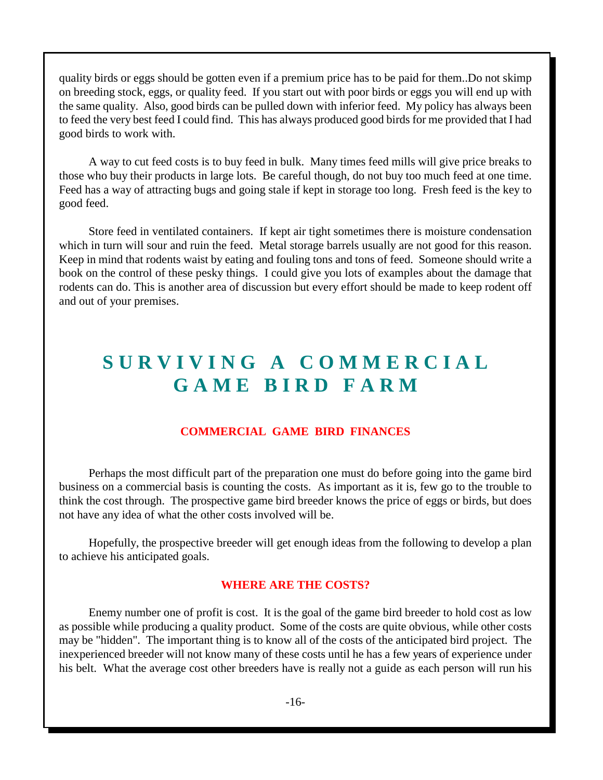quality birds or eggs should be gotten even if a premium price has to be paid for them..Do not skimp on breeding stock, eggs, or quality feed. If you start out with poor birds or eggs you will end up with the same quality. Also, good birds can be pulled down with inferior feed. My policy has always been to feed the very best feed I could find. This has always produced good birds for me provided that I had good birds to work with.

A way to cut feed costs is to buy feed in bulk. Many times feed mills will give price breaks to those who buy their products in large lots. Be careful though, do not buy too much feed at one time. Feed has a way of attracting bugs and going stale if kept in storage too long. Fresh feed is the key to good feed.

Store feed in ventilated containers. If kept air tight sometimes there is moisture condensation which in turn will sour and ruin the feed. Metal storage barrels usually are not good for this reason. Keep in mind that rodents waist by eating and fouling tons and tons of feed. Someone should write a book on the control of these pesky things. I could give you lots of examples about the damage that rodents can do. This is another area of discussion but every effort should be made to keep rodent off and out of your premises.

# **S U R V I V I N G A C O M M E R C I A L G A M E B I R D F A R M**

#### **COMMERCIAL GAME BIRD FINANCES**

Perhaps the most difficult part of the preparation one must do before going into the game bird business on a commercial basis is counting the costs. As important as it is, few go to the trouble to think the cost through. The prospective game bird breeder knows the price of eggs or birds, but does not have any idea of what the other costs involved will be.

Hopefully, the prospective breeder will get enough ideas from the following to develop a plan to achieve his anticipated goals.

#### **WHERE ARE THE COSTS?**

Enemy number one of profit is cost. It is the goal of the game bird breeder to hold cost as low as possible while producing a quality product. Some of the costs are quite obvious, while other costs may be "hidden". The important thing is to know all of the costs of the anticipated bird project. The inexperienced breeder will not know many of these costs until he has a few years of experience under his belt. What the average cost other breeders have is really not a guide as each person will run his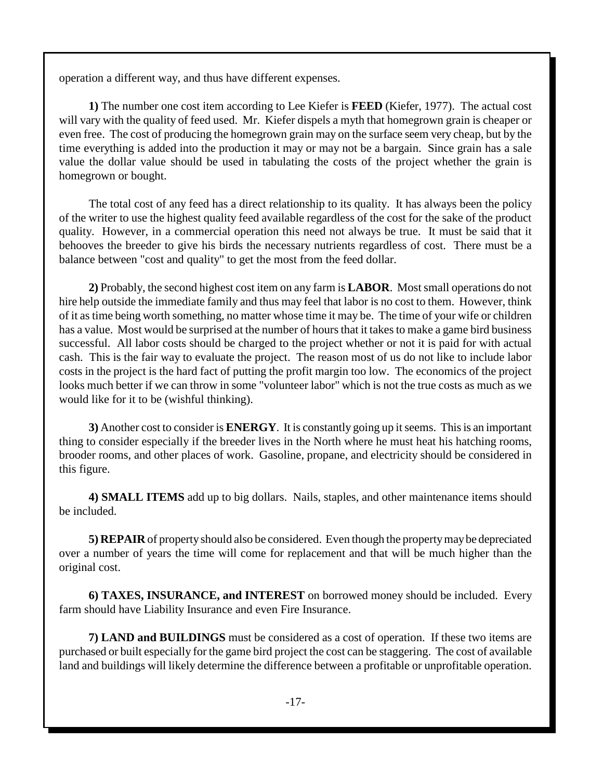operation a different way, and thus have different expenses.

**1)** The number one cost item according to Lee Kiefer is **FEED** (Kiefer, 1977). The actual cost will vary with the quality of feed used. Mr. Kiefer dispels a myth that homegrown grain is cheaper or even free. The cost of producing the homegrown grain may on the surface seem very cheap, but by the time everything is added into the production it may or may not be a bargain. Since grain has a sale value the dollar value should be used in tabulating the costs of the project whether the grain is homegrown or bought.

The total cost of any feed has a direct relationship to its quality. It has always been the policy of the writer to use the highest quality feed available regardless of the cost for the sake of the product quality. However, in a commercial operation this need not always be true. It must be said that it behooves the breeder to give his birds the necessary nutrients regardless of cost. There must be a balance between "cost and quality" to get the most from the feed dollar.

**2)** Probably, the second highest cost item on any farm is **LABOR**. Most small operations do not hire help outside the immediate family and thus may feel that labor is no cost to them. However, think of it as time being worth something, no matter whose time it may be. The time of your wife or children has a value. Most would be surprised at the number of hours that it takes to make a game bird business successful. All labor costs should be charged to the project whether or not it is paid for with actual cash. This is the fair way to evaluate the project. The reason most of us do not like to include labor costs in the project is the hard fact of putting the profit margin too low. The economics of the project looks much better if we can throw in some "volunteer labor" which is not the true costs as much as we would like for it to be (wishful thinking).

**3)** Another cost to consider is **ENERGY**. It is constantly going up it seems. This is an important thing to consider especially if the breeder lives in the North where he must heat his hatching rooms, brooder rooms, and other places of work. Gasoline, propane, and electricity should be considered in this figure.

**4) SMALL ITEMS** add up to big dollars. Nails, staples, and other maintenance items should be included.

**5) REPAIR** of property should also be considered. Even though the property may be depreciated over a number of years the time will come for replacement and that will be much higher than the original cost.

**6) TAXES, INSURANCE, and INTEREST** on borrowed money should be included. Every farm should have Liability Insurance and even Fire Insurance.

**7) LAND and BUILDINGS** must be considered as a cost of operation. If these two items are purchased or built especially for the game bird project the cost can be staggering. The cost of available land and buildings will likely determine the difference between a profitable or unprofitable operation.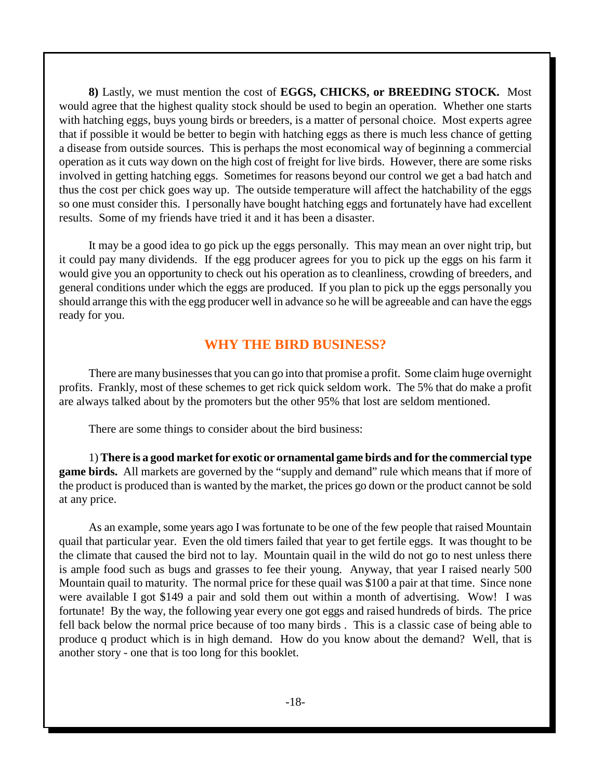**8)** Lastly, we must mention the cost of **EGGS, CHICKS, or BREEDING STOCK.** Most would agree that the highest quality stock should be used to begin an operation. Whether one starts with hatching eggs, buys young birds or breeders, is a matter of personal choice. Most experts agree that if possible it would be better to begin with hatching eggs as there is much less chance of getting a disease from outside sources. This is perhaps the most economical way of beginning a commercial operation as it cuts way down on the high cost of freight for live birds. However, there are some risks involved in getting hatching eggs. Sometimes for reasons beyond our control we get a bad hatch and thus the cost per chick goes way up. The outside temperature will affect the hatchability of the eggs so one must consider this. I personally have bought hatching eggs and fortunately have had excellent results. Some of my friends have tried it and it has been a disaster.

It may be a good idea to go pick up the eggs personally. This may mean an over night trip, but it could pay many dividends. If the egg producer agrees for you to pick up the eggs on his farm it would give you an opportunity to check out his operation as to cleanliness, crowding of breeders, and general conditions under which the eggs are produced. If you plan to pick up the eggs personally you should arrange this with the egg producer well in advance so he will be agreeable and can have the eggs ready for you.

#### **WHY THE BIRD BUSINESS?**

There are many businesses that you can go into that promise a profit. Some claim huge overnight profits. Frankly, most of these schemes to get rick quick seldom work. The 5% that do make a profit are always talked about by the promoters but the other 95% that lost are seldom mentioned.

There are some things to consider about the bird business:

1) **There is a good market for exotic or ornamental game birds and for the commercial type game birds.** All markets are governed by the "supply and demand" rule which means that if more of the product is produced than is wanted by the market, the prices go down or the product cannot be sold at any price.

As an example, some years ago I was fortunate to be one of the few people that raised Mountain quail that particular year. Even the old timers failed that year to get fertile eggs. It was thought to be the climate that caused the bird not to lay. Mountain quail in the wild do not go to nest unless there is ample food such as bugs and grasses to fee their young. Anyway, that year I raised nearly 500 Mountain quail to maturity. The normal price for these quail was \$100 a pair at that time. Since none were available I got \$149 a pair and sold them out within a month of advertising. Wow! I was fortunate! By the way, the following year every one got eggs and raised hundreds of birds. The price fell back below the normal price because of too many birds . This is a classic case of being able to produce q product which is in high demand. How do you know about the demand? Well, that is another story - one that is too long for this booklet.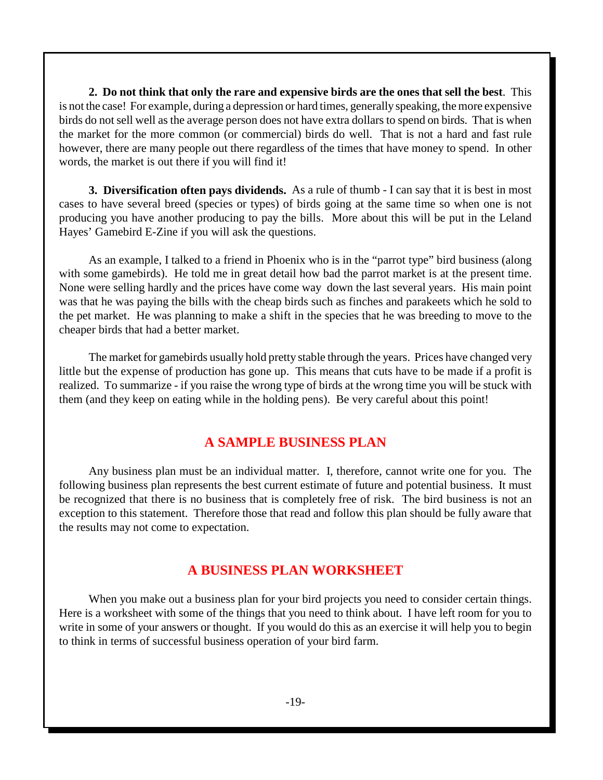**2. Do not think that only the rare and expensive birds are the ones that sell the best**. This is not the case! For example, during a depression or hard times, generally speaking, the more expensive birds do not sell well as the average person does not have extra dollars to spend on birds. That is when the market for the more common (or commercial) birds do well. That is not a hard and fast rule however, there are many people out there regardless of the times that have money to spend. In other words, the market is out there if you will find it!

**3. Diversification often pays dividends.** As a rule of thumb - I can say that it is best in most cases to have several breed (species or types) of birds going at the same time so when one is not producing you have another producing to pay the bills. More about this will be put in the Leland Hayes' Gamebird E-Zine if you will ask the questions.

As an example, I talked to a friend in Phoenix who is in the "parrot type" bird business (along with some gamebirds). He told me in great detail how bad the parrot market is at the present time. None were selling hardly and the prices have come way down the last several years. His main point was that he was paying the bills with the cheap birds such as finches and parakeets which he sold to the pet market. He was planning to make a shift in the species that he was breeding to move to the cheaper birds that had a better market.

The market for gamebirds usually hold pretty stable through the years. Prices have changed very little but the expense of production has gone up. This means that cuts have to be made if a profit is realized. To summarize - if you raise the wrong type of birds at the wrong time you will be stuck with them (and they keep on eating while in the holding pens). Be very careful about this point!

#### **A SAMPLE BUSINESS PLAN**

Any business plan must be an individual matter. I, therefore, cannot write one for you. The following business plan represents the best current estimate of future and potential business. It must be recognized that there is no business that is completely free of risk. The bird business is not an exception to this statement. Therefore those that read and follow this plan should be fully aware that the results may not come to expectation.

#### **A BUSINESS PLAN WORKSHEET**

When you make out a business plan for your bird projects you need to consider certain things. Here is a worksheet with some of the things that you need to think about. I have left room for you to write in some of your answers or thought. If you would do this as an exercise it will help you to begin to think in terms of successful business operation of your bird farm.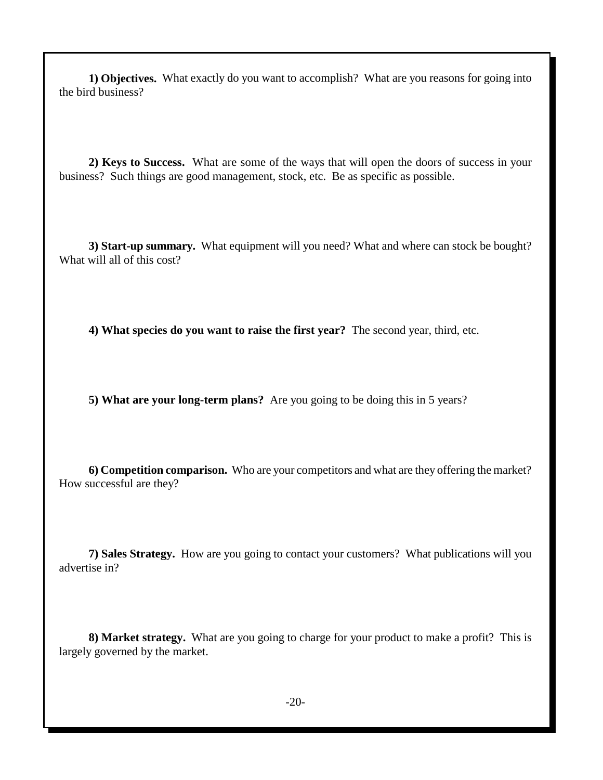**1) Objectives.** What exactly do you want to accomplish? What are you reasons for going into the bird business?

**2) Keys to Success.** What are some of the ways that will open the doors of success in your business? Such things are good management, stock, etc. Be as specific as possible.

**3) Start-up summary.** What equipment will you need? What and where can stock be bought? What will all of this cost?

**4) What species do you want to raise the first year?** The second year, third, etc.

**5) What are your long-term plans?** Are you going to be doing this in 5 years?

**6) Competition comparison.** Who are your competitors and what are they offering the market? How successful are they?

**7) Sales Strategy.** How are you going to contact your customers? What publications will you advertise in?

**8) Market strategy.** What are you going to charge for your product to make a profit? This is largely governed by the market.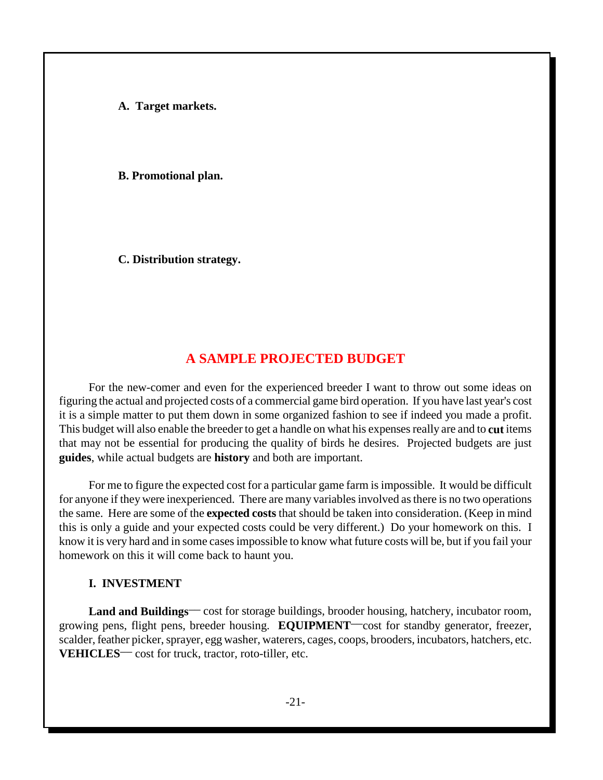**A. Target markets.**

**B. Promotional plan.**

**C. Distribution strategy.**

#### **A SAMPLE PROJECTED BUDGET**

For the new-comer and even for the experienced breeder I want to throw out some ideas on figuring the actual and projected costs of a commercial game bird operation. If you have last year's cost it is a simple matter to put them down in some organized fashion to see if indeed you made a profit. This budget will also enable the breeder to get a handle on what his expenses really are and to **cut** items that may not be essential for producing the quality of birds he desires. Projected budgets are just **guides**, while actual budgets are **history** and both are important.

For me to figure the expected cost for a particular game farm is impossible. It would be difficult for anyone if they were inexperienced. There are many variables involved as there is no two operations the same. Here are some of the **expected costs** that should be taken into consideration. (Keep in mind this is only a guide and your expected costs could be very different.) Do your homework on this. I know it is very hard and in some cases impossible to know what future costs will be, but if you fail your homework on this it will come back to haunt you.

#### **I. INVESTMENT**

Land and Buildings<sup>--</sup> cost for storage buildings, brooder housing, hatchery, incubator room, growing pens, flight pens, breeder housing. **EQUIPMENT**\_\_cost for standby generator, freezer, scalder, feather picker, sprayer, egg washer, waterers, cages, coops, brooders, incubators, hatchers, etc. **VEHICLES**— cost for truck, tractor, roto-tiller, etc.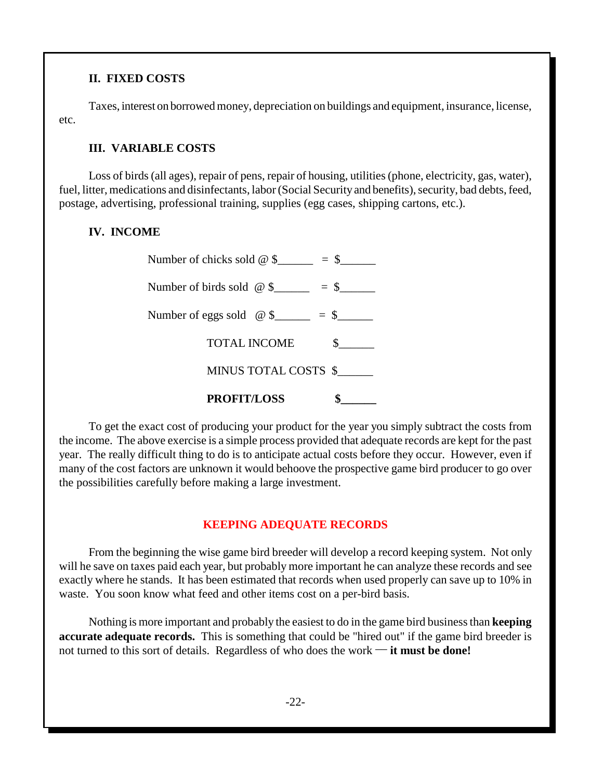#### **II. FIXED COSTS**

Taxes, interest on borrowed money, depreciation on buildings and equipment, insurance, license, etc.

#### **III. VARIABLE COSTS**

Loss of birds (all ages), repair of pens, repair of housing, utilities (phone, electricity, gas, water), fuel, litter, medications and disinfectants, labor (Social Security and benefits), security, bad debts, feed, postage, advertising, professional training, supplies (egg cases, shipping cartons, etc.).

#### **IV. INCOME**

| <b>PROFIT/LOSS</b>                         |  |
|--------------------------------------------|--|
| MINUS TOTAL COSTS \$                       |  |
| <b>TOTAL INCOME</b>                        |  |
| Number of eggs sold $\omega$ \$<br>$=$ \$  |  |
| Number of birds sold $\omega$ \$<br>$=$ \$ |  |
| $=$ \$<br>Number of chicks sold $@$ \$     |  |

To get the exact cost of producing your product for the year you simply subtract the costs from the income. The above exercise is a simple process provided that adequate records are kept for the past year. The really difficult thing to do is to anticipate actual costs before they occur. However, even if many of the cost factors are unknown it would behoove the prospective game bird producer to go over the possibilities carefully before making a large investment.

#### **KEEPING ADEQUATE RECORDS**

From the beginning the wise game bird breeder will develop a record keeping system. Not only will he save on taxes paid each year, but probably more important he can analyze these records and see exactly where he stands. It has been estimated that records when used properly can save up to 10% in waste. You soon know what feed and other items cost on a per-bird basis.

Nothing is more important and probably the easiest to do in the game bird business than **keeping accurate adequate records.** This is something that could be "hired out" if the game bird breeder is not turned to this sort of details. Regardless of who does the work  $\rightarrow$  **it must be done!**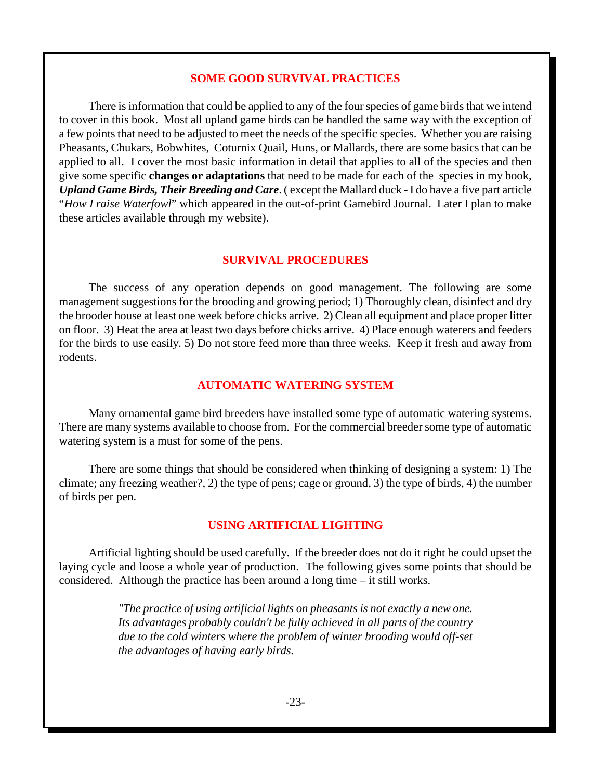#### **SOME GOOD SURVIVAL PRACTICES**

There is information that could be applied to any of the four species of game birds that we intend to cover in this book. Most all upland game birds can be handled the same way with the exception of a few points that need to be adjusted to meet the needs of the specific species. Whether you are raising Pheasants, Chukars, Bobwhites, Coturnix Quail, Huns, or Mallards, there are some basics that can be applied to all. I cover the most basic information in detail that applies to all of the species and then give some specific **changes or adaptations** that need to be made for each of the species in my book, *Upland Game Birds, Their Breeding and Care*. ( except the Mallard duck - I do have a five part article "*How I raise Waterfowl*" which appeared in the out-of-print Gamebird Journal. Later I plan to make these articles available through my website).

#### **SURVIVAL PROCEDURES**

The success of any operation depends on good management. The following are some management suggestions for the brooding and growing period; 1) Thoroughly clean, disinfect and dry the brooder house at least one week before chicks arrive. 2) Clean all equipment and place proper litter on floor. 3) Heat the area at least two days before chicks arrive. 4) Place enough waterers and feeders for the birds to use easily. 5) Do not store feed more than three weeks. Keep it fresh and away from rodents.

#### **AUTOMATIC WATERING SYSTEM**

Many ornamental game bird breeders have installed some type of automatic watering systems. There are many systems available to choose from. For the commercial breeder some type of automatic watering system is a must for some of the pens.

There are some things that should be considered when thinking of designing a system: 1) The climate; any freezing weather?, 2) the type of pens; cage or ground, 3) the type of birds, 4) the number of birds per pen.

#### **USING ARTIFICIAL LIGHTING**

Artificial lighting should be used carefully. If the breeder does not do it right he could upset the laying cycle and loose a whole year of production. The following gives some points that should be considered. Although the practice has been around a long time – it still works.

> *"The practice of using artificial lights on pheasants is not exactly a new one. Its advantages probably couldn't be fully achieved in all parts of the country due to the cold winters where the problem of winter brooding would off-set the advantages of having early birds.*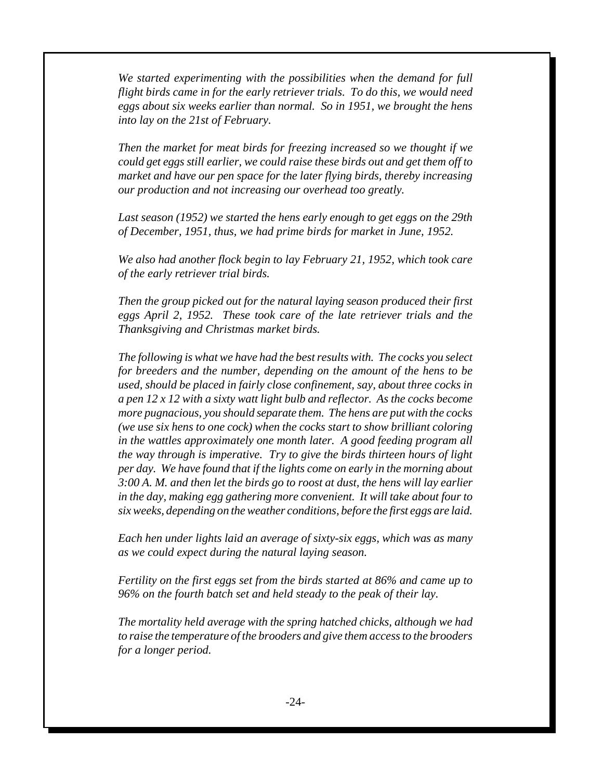*We started experimenting with the possibilities when the demand for full flight birds came in for the early retriever trials. To do this, we would need eggs about six weeks earlier than normal. So in 1951, we brought the hens into lay on the 21st of February.*

*Then the market for meat birds for freezing increased so we thought if we could get eggs still earlier, we could raise these birds out and get them off to market and have our pen space for the later flying birds, thereby increasing our production and not increasing our overhead too greatly.*

*Last season (1952) we started the hens early enough to get eggs on the 29th of December, 1951, thus, we had prime birds for market in June, 1952.*

*We also had another flock begin to lay February 21, 1952, which took care of the early retriever trial birds.*

*Then the group picked out for the natural laying season produced their first eggs April 2, 1952. These took care of the late retriever trials and the Thanksgiving and Christmas market birds.*

*The following is what we have had the best results with. The cocks you select for breeders and the number, depending on the amount of the hens to be used, should be placed in fairly close confinement, say, about three cocks in a pen 12 x 12 with a sixty watt light bulb and reflector. As the cocks become more pugnacious, you should separate them. The hens are put with the cocks (we use six hens to one cock) when the cocks start to show brilliant coloring in the wattles approximately one month later. A good feeding program all the way through is imperative. Try to give the birds thirteen hours of light per day. We have found that if the lights come on early in the morning about 3:00 A. M. and then let the birds go to roost at dust, the hens will lay earlier in the day, making egg gathering more convenient. It will take about four to six weeks, depending on the weather conditions, before the first eggs are laid.*

*Each hen under lights laid an average of sixty-six eggs, which was as many as we could expect during the natural laying season.*

*Fertility on the first eggs set from the birds started at 86% and came up to 96% on the fourth batch set and held steady to the peak of their lay.*

*The mortality held average with the spring hatched chicks, although we had to raise the temperature of the brooders and give them access to the brooders for a longer period.*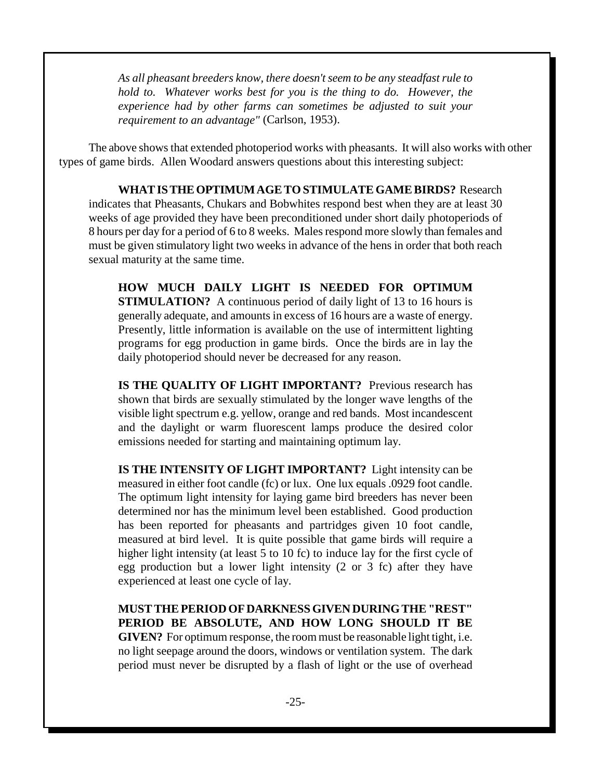*As all pheasant breeders know, there doesn't seem to be any steadfast rule to hold to. Whatever works best for you is the thing to do. However, the experience had by other farms can sometimes be adjusted to suit your requirement to an advantage"* (Carlson, 1953).

The above shows that extended photoperiod works with pheasants. It will also works with other types of game birds. Allen Woodard answers questions about this interesting subject:

**WHAT IS THE OPTIMUM AGE TO STIMULATE GAME BIRDS?** Research indicates that Pheasants, Chukars and Bobwhites respond best when they are at least 30 weeks of age provided they have been preconditioned under short daily photoperiods of 8 hours per day for a period of 6 to 8 weeks. Males respond more slowly than females and must be given stimulatory light two weeks in advance of the hens in order that both reach sexual maturity at the same time.

**HOW MUCH DAILY LIGHT IS NEEDED FOR OPTIMUM STIMULATION?** A continuous period of daily light of 13 to 16 hours is generally adequate, and amounts in excess of 16 hours are a waste of energy. Presently, little information is available on the use of intermittent lighting programs for egg production in game birds. Once the birds are in lay the daily photoperiod should never be decreased for any reason.

**IS THE QUALITY OF LIGHT IMPORTANT?** Previous research has shown that birds are sexually stimulated by the longer wave lengths of the visible light spectrum e.g. yellow, orange and red bands. Most incandescent and the daylight or warm fluorescent lamps produce the desired color emissions needed for starting and maintaining optimum lay.

**IS THE INTENSITY OF LIGHT IMPORTANT?** Light intensity can be measured in either foot candle (fc) or lux. One lux equals .0929 foot candle. The optimum light intensity for laying game bird breeders has never been determined nor has the minimum level been established. Good production has been reported for pheasants and partridges given 10 foot candle, measured at bird level. It is quite possible that game birds will require a higher light intensity (at least 5 to 10 fc) to induce lay for the first cycle of egg production but a lower light intensity (2 or 3 fc) after they have experienced at least one cycle of lay.

**MUST THE PERIOD OF DARKNESS GIVEN DURING THE "REST" PERIOD BE ABSOLUTE, AND HOW LONG SHOULD IT BE GIVEN?** For optimum response, the room must be reasonable light tight, i.e. no light seepage around the doors, windows or ventilation system. The dark period must never be disrupted by a flash of light or the use of overhead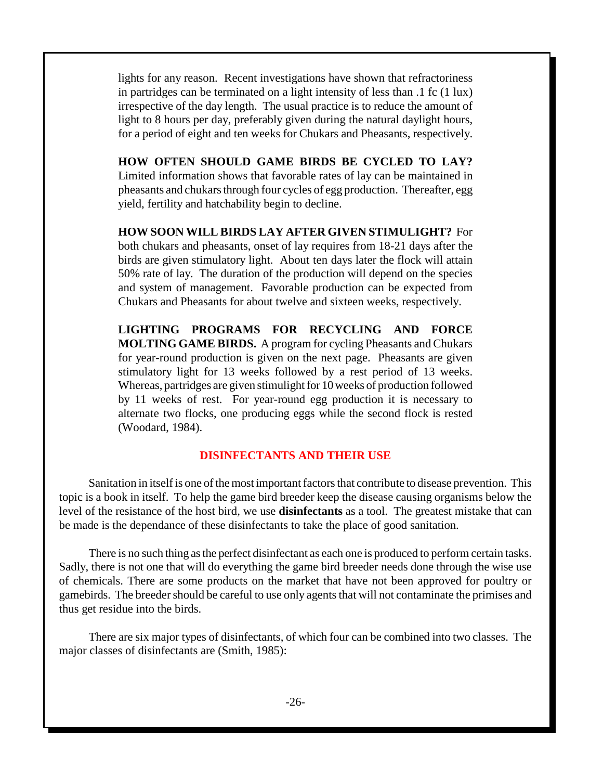lights for any reason. Recent investigations have shown that refractoriness in partridges can be terminated on a light intensity of less than .1 fc (1 lux) irrespective of the day length. The usual practice is to reduce the amount of light to 8 hours per day, preferably given during the natural daylight hours, for a period of eight and ten weeks for Chukars and Pheasants, respectively.

**HOW OFTEN SHOULD GAME BIRDS BE CYCLED TO LAY?** Limited information shows that favorable rates of lay can be maintained in pheasants and chukars through four cycles of egg production. Thereafter, egg yield, fertility and hatchability begin to decline.

**HOW SOON WILL BIRDS LAY AFTER GIVEN STIMULIGHT?** For both chukars and pheasants, onset of lay requires from 18-21 days after the birds are given stimulatory light. About ten days later the flock will attain 50% rate of lay. The duration of the production will depend on the species and system of management. Favorable production can be expected from Chukars and Pheasants for about twelve and sixteen weeks, respectively.

**LIGHTING PROGRAMS FOR RECYCLING AND FORCE MOLTING GAME BIRDS.** A program for cycling Pheasants and Chukars for year-round production is given on the next page. Pheasants are given stimulatory light for 13 weeks followed by a rest period of 13 weeks. Whereas, partridges are given stimulight for 10 weeks of production followed by 11 weeks of rest. For year-round egg production it is necessary to alternate two flocks, one producing eggs while the second flock is rested (Woodard, 1984).

#### **DISINFECTANTS AND THEIR USE**

Sanitation in itself is one of the most important factors that contribute to disease prevention. This topic is a book in itself. To help the game bird breeder keep the disease causing organisms below the level of the resistance of the host bird, we use **disinfectants** as a tool. The greatest mistake that can be made is the dependance of these disinfectants to take the place of good sanitation.

There is no such thing as the perfect disinfectant as each one is produced to perform certain tasks. Sadly, there is not one that will do everything the game bird breeder needs done through the wise use of chemicals. There are some products on the market that have not been approved for poultry or gamebirds. The breeder should be careful to use only agents that will not contaminate the primises and thus get residue into the birds.

There are six major types of disinfectants, of which four can be combined into two classes. The major classes of disinfectants are (Smith, 1985):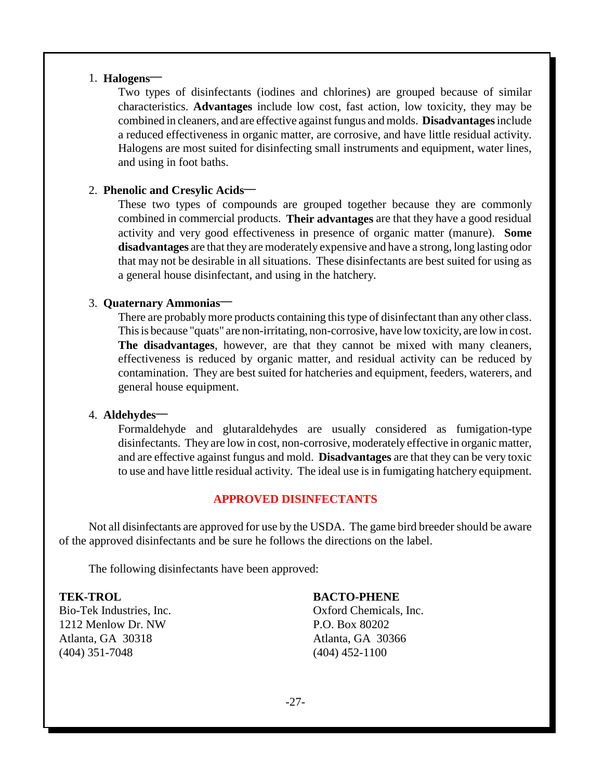#### 1. **Halogens-**

Two types of disinfectants (iodines and chlorines) are grouped because of similar characteristics. **Advantages** include low cost, fast action, low toxicity, they may be combined in cleaners, and are effective against fungus and molds. **Disadvantages** include a reduced effectiveness in organic matter, are corrosive, and have little residual activity. Halogens are most suited for disinfecting small instruments and equipment, water lines, and using in foot baths.

#### 2. **Phenolic and Cresylic Acids\_\_**

These two types of compounds are grouped together because they are commonly combined in commercial products. **Their advantages** are that they have a good residual activity and very good effectiveness in presence of organic matter (manure). **Some disadvantages** are that they are moderately expensive and have a strong, long lasting odor that may not be desirable in all situations. These disinfectants are best suited for using as a general house disinfectant, and using in the hatchery.

#### 3. **Quaternary Ammonias\_\_**

There are probably more products containing this type of disinfectant than any other class. This is because "quats" are non-irritating, non-corrosive, have low toxicity, are low in cost. **The disadvantages**, however, are that they cannot be mixed with many cleaners, effectiveness is reduced by organic matter, and residual activity can be reduced by contamination. They are best suited for hatcheries and equipment, feeders, waterers, and general house equipment.

#### 4. **Aldehydes\_\_**

Formaldehyde and glutaraldehydes are usually considered as fumigation-type disinfectants. They are low in cost, non-corrosive, moderately effective in organic matter, and are effective against fungus and mold. **Disadvantages** are that they can be very toxic to use and have little residual activity. The ideal use is in fumigating hatchery equipment.

#### **APPROVED DISINFECTANTS**

Not all disinfectants are approved for use by the USDA. The game bird breeder should be aware of the approved disinfectants and be sure he follows the directions on the label.

The following disinfectants have been approved:

#### **TEK-TROL**

Bio-Tek Industries, Inc. 1212 Menlow Dr. NW Atlanta, GA 30318 (404) 351-7048

**BACTO-PHENE**

Oxford Chemicals, Inc. P.O. Box 80202 Atlanta, GA 30366 (404) 452-1100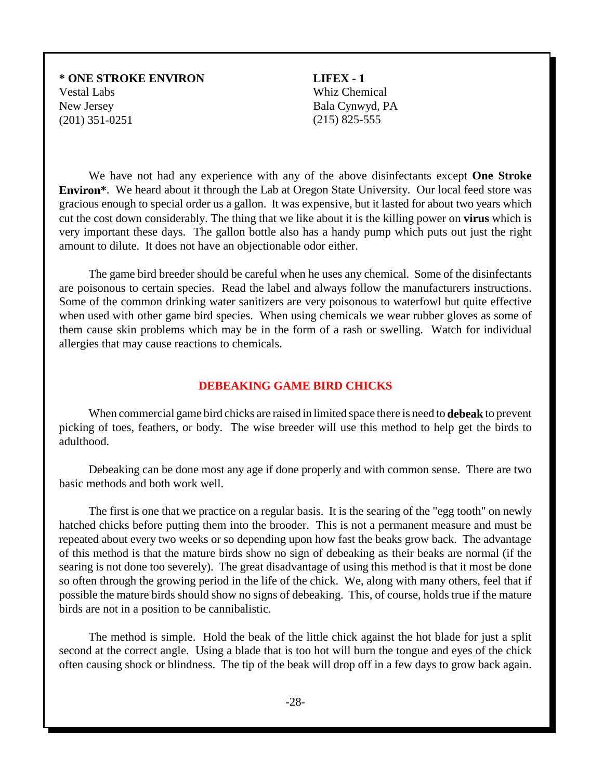#### **\* ONE STROKE ENVIRON** Vestal Labs New Jersey (201) 351-0251

**LIFEX - 1** Whiz Chemical Bala Cynwyd, PA (215) 825-555

We have not had any experience with any of the above disinfectants except **One Stroke Environ\***. We heard about it through the Lab at Oregon State University. Our local feed store was gracious enough to special order us a gallon. It was expensive, but it lasted for about two years which cut the cost down considerably. The thing that we like about it is the killing power on **virus** which is very important these days. The gallon bottle also has a handy pump which puts out just the right amount to dilute. It does not have an objectionable odor either.

The game bird breeder should be careful when he uses any chemical. Some of the disinfectants are poisonous to certain species. Read the label and always follow the manufacturers instructions. Some of the common drinking water sanitizers are very poisonous to waterfowl but quite effective when used with other game bird species. When using chemicals we wear rubber gloves as some of them cause skin problems which may be in the form of a rash or swelling. Watch for individual allergies that may cause reactions to chemicals.

#### **DEBEAKING GAME BIRD CHICKS**

When commercial game bird chicks are raised in limited space there is need to **debeak** to prevent picking of toes, feathers, or body. The wise breeder will use this method to help get the birds to adulthood.

Debeaking can be done most any age if done properly and with common sense. There are two basic methods and both work well.

The first is one that we practice on a regular basis. It is the searing of the "egg tooth" on newly hatched chicks before putting them into the brooder. This is not a permanent measure and must be repeated about every two weeks or so depending upon how fast the beaks grow back. The advantage of this method is that the mature birds show no sign of debeaking as their beaks are normal (if the searing is not done too severely). The great disadvantage of using this method is that it most be done so often through the growing period in the life of the chick. We, along with many others, feel that if possible the mature birds should show no signs of debeaking. This, of course, holds true if the mature birds are not in a position to be cannibalistic.

The method is simple. Hold the beak of the little chick against the hot blade for just a split second at the correct angle. Using a blade that is too hot will burn the tongue and eyes of the chick often causing shock or blindness. The tip of the beak will drop off in a few days to grow back again.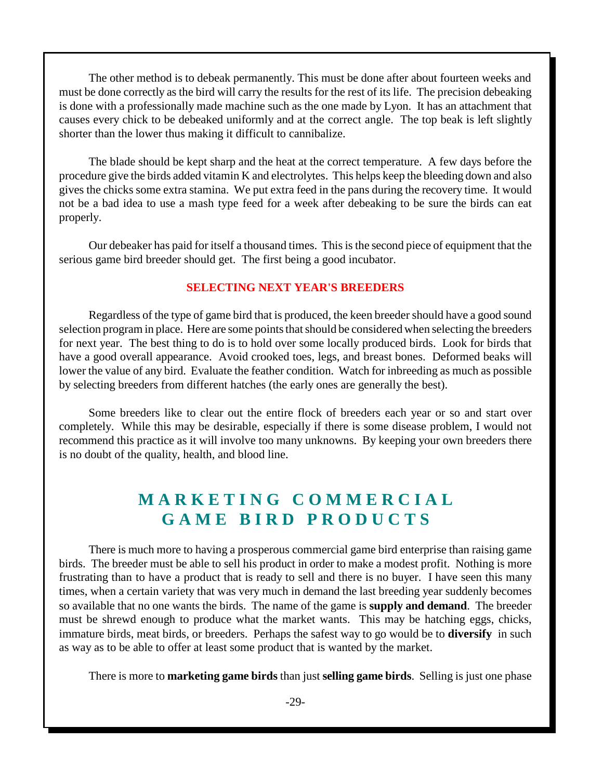The other method is to debeak permanently. This must be done after about fourteen weeks and must be done correctly as the bird will carry the results for the rest of its life. The precision debeaking is done with a professionally made machine such as the one made by Lyon. It has an attachment that causes every chick to be debeaked uniformly and at the correct angle. The top beak is left slightly shorter than the lower thus making it difficult to cannibalize.

The blade should be kept sharp and the heat at the correct temperature. A few days before the procedure give the birds added vitamin K and electrolytes. This helps keep the bleeding down and also gives the chicks some extra stamina. We put extra feed in the pans during the recovery time. It would not be a bad idea to use a mash type feed for a week after debeaking to be sure the birds can eat properly.

Our debeaker has paid for itself a thousand times. This is the second piece of equipment that the serious game bird breeder should get. The first being a good incubator.

#### **SELECTING NEXT YEAR'S BREEDERS**

Regardless of the type of game bird that is produced, the keen breeder should have a good sound selection program in place. Here are some points that should be considered when selecting the breeders for next year. The best thing to do is to hold over some locally produced birds. Look for birds that have a good overall appearance. Avoid crooked toes, legs, and breast bones. Deformed beaks will lower the value of any bird. Evaluate the feather condition. Watch for inbreeding as much as possible by selecting breeders from different hatches (the early ones are generally the best).

Some breeders like to clear out the entire flock of breeders each year or so and start over completely. While this may be desirable, especially if there is some disease problem, I would not recommend this practice as it will involve too many unknowns. By keeping your own breeders there is no doubt of the quality, health, and blood line.

# **M A R K E T I N G C O M M E R C I A L G A M E B I R D P R O D U C T S**

There is much more to having a prosperous commercial game bird enterprise than raising game birds. The breeder must be able to sell his product in order to make a modest profit. Nothing is more frustrating than to have a product that is ready to sell and there is no buyer. I have seen this many times, when a certain variety that was very much in demand the last breeding year suddenly becomes so available that no one wants the birds. The name of the game is **supply and demand**. The breeder must be shrewd enough to produce what the market wants. This may be hatching eggs, chicks, immature birds, meat birds, or breeders. Perhaps the safest way to go would be to **diversify** in such as way as to be able to offer at least some product that is wanted by the market.

There is more to **marketing game birds** than just **selling game birds**. Selling is just one phase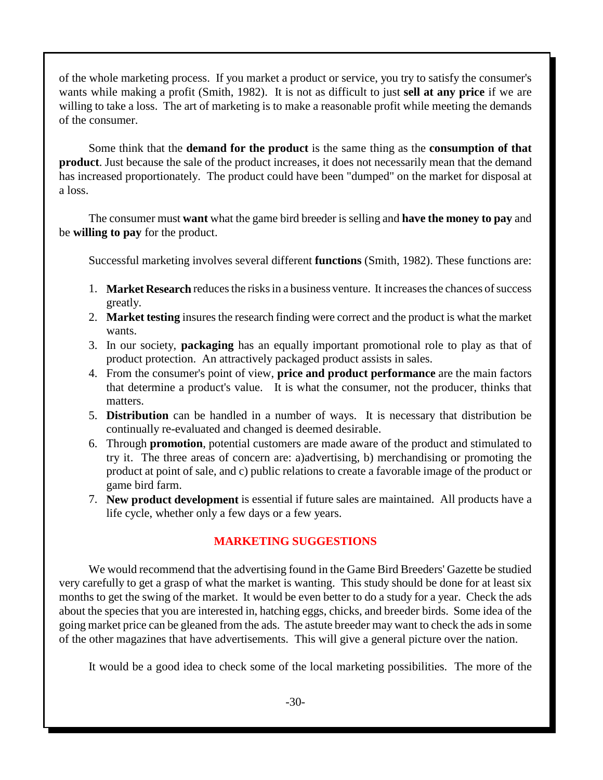of the whole marketing process. If you market a product or service, you try to satisfy the consumer's wants while making a profit (Smith, 1982). It is not as difficult to just **sell at any price** if we are willing to take a loss. The art of marketing is to make a reasonable profit while meeting the demands of the consumer.

Some think that the **demand for the product** is the same thing as the **consumption of that product**. Just because the sale of the product increases, it does not necessarily mean that the demand has increased proportionately. The product could have been "dumped" on the market for disposal at a loss.

The consumer must **want** what the game bird breeder is selling and **have the money to pay** and be **willing to pay** for the product.

Successful marketing involves several different **functions** (Smith, 1982). These functions are:

- 1. **Market Research** reduces the risks in a business venture. It increases the chances of success greatly.
- 2. **Market testing** insures the research finding were correct and the product is what the market wants.
- 3. In our society, **packaging** has an equally important promotional role to play as that of product protection. An attractively packaged product assists in sales.
- 4. From the consumer's point of view, **price and product performance** are the main factors that determine a product's value. It is what the consumer, not the producer, thinks that matters.
- 5. **Distribution** can be handled in a number of ways. It is necessary that distribution be continually re-evaluated and changed is deemed desirable.
- 6. Through **promotion**, potential customers are made aware of the product and stimulated to try it. The three areas of concern are: a)advertising, b) merchandising or promoting the product at point of sale, and c) public relations to create a favorable image of the product or game bird farm.
- 7. **New product development** is essential if future sales are maintained. All products have a life cycle, whether only a few days or a few years.

## **MARKETING SUGGESTIONS**

We would recommend that the advertising found in the Game Bird Breeders' Gazette be studied very carefully to get a grasp of what the market is wanting. This study should be done for at least six months to get the swing of the market. It would be even better to do a study for a year. Check the ads about the species that you are interested in, hatching eggs, chicks, and breeder birds. Some idea of the going market price can be gleaned from the ads. The astute breeder may want to check the ads in some of the other magazines that have advertisements. This will give a general picture over the nation.

It would be a good idea to check some of the local marketing possibilities. The more of the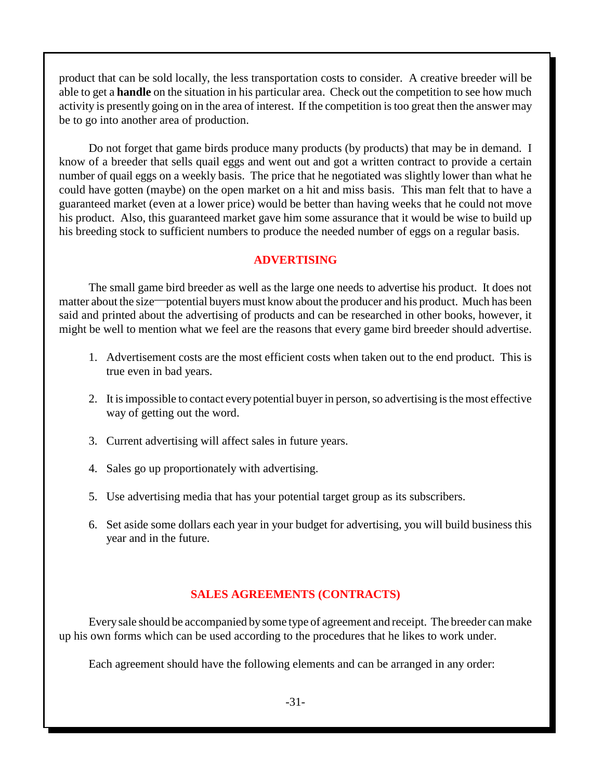product that can be sold locally, the less transportation costs to consider. A creative breeder will be able to get a **handle** on the situation in his particular area. Check out the competition to see how much activity is presently going on in the area of interest. If the competition is too great then the answer may be to go into another area of production.

Do not forget that game birds produce many products (by products) that may be in demand. I know of a breeder that sells quail eggs and went out and got a written contract to provide a certain number of quail eggs on a weekly basis. The price that he negotiated was slightly lower than what he could have gotten (maybe) on the open market on a hit and miss basis. This man felt that to have a guaranteed market (even at a lower price) would be better than having weeks that he could not move his product. Also, this guaranteed market gave him some assurance that it would be wise to build up his breeding stock to sufficient numbers to produce the needed number of eggs on a regular basis.

#### **ADVERTISING**

The small game bird breeder as well as the large one needs to advertise his product. It does not matter about the size—potential buyers must know about the producer and his product. Much has been said and printed about the advertising of products and can be researched in other books, however, it might be well to mention what we feel are the reasons that every game bird breeder should advertise.

- 1. Advertisement costs are the most efficient costs when taken out to the end product. This is true even in bad years.
- 2. It is impossible to contact every potential buyer in person, so advertising is the most effective way of getting out the word.
- 3. Current advertising will affect sales in future years.
- 4. Sales go up proportionately with advertising.
- 5. Use advertising media that has your potential target group as its subscribers.
- 6. Set aside some dollars each year in your budget for advertising, you will build business this year and in the future.

#### **SALES AGREEMENTS (CONTRACTS)**

Every sale should be accompanied by some type of agreement and receipt. The breeder can make up his own forms which can be used according to the procedures that he likes to work under.

Each agreement should have the following elements and can be arranged in any order: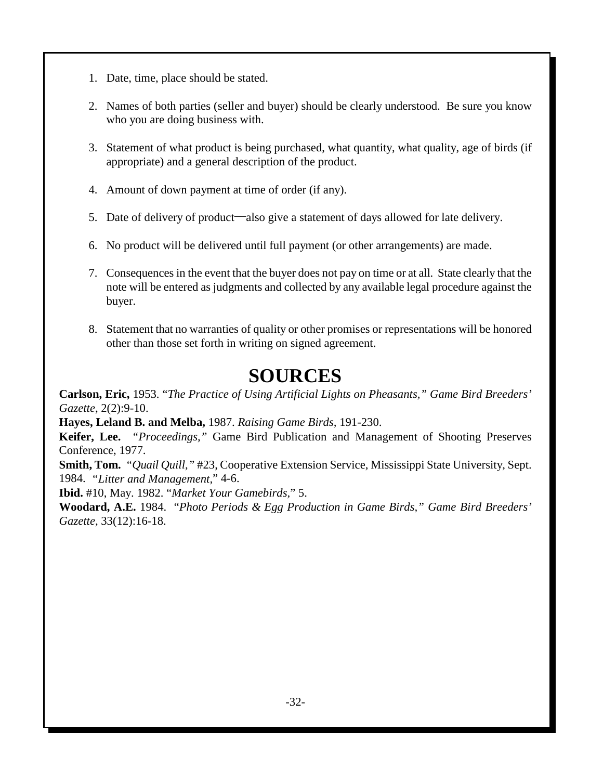- 1. Date, time, place should be stated.
- 2. Names of both parties (seller and buyer) should be clearly understood. Be sure you know who you are doing business with.
- 3. Statement of what product is being purchased, what quantity, what quality, age of birds (if appropriate) and a general description of the product.
- 4. Amount of down payment at time of order (if any).
- 5. Date of delivery of product—also give a statement of days allowed for late delivery.
- 6. No product will be delivered until full payment (or other arrangements) are made.
- 7. Consequences in the event that the buyer does not pay on time or at all. State clearly that the note will be entered as judgments and collected by any available legal procedure against the buyer.
- 8. Statement that no warranties of quality or other promises or representations will be honored other than those set forth in writing on signed agreement.

# **SOURCES**

**Carlson, Eric,** 1953. "*The Practice of Using Artificial Lights on Pheasants," Game Bird Breeders' Gazette*, 2(2):9-10.

**Hayes, Leland B. and Melba,** 1987. *Raising Game Birds,* 191-230.

**Keifer, Lee.** *"Proceedings,"* Game Bird Publication and Management of Shooting Preserves Conference, 1977.

**Smith, Tom.** *"Quail Quill,"* #23, Cooperative Extension Service, Mississippi State University, Sept. 1984. *"Litter and Management,*" 4-6.

**Ibid.** #10, May. 1982. "*Market Your Gamebirds,*" 5.

**Woodard, A.E.** 1984. "*Photo Periods & Egg Production in Game Birds," Game Bird Breeders' Gazette,* 33(12):16-18.